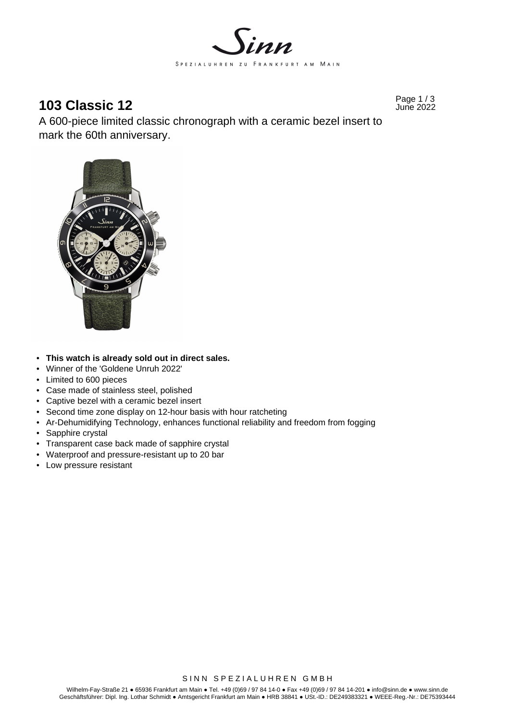

# **103 Classic 12** Page 1/3 June 2022

A 600-piece limited classic chronograph with a ceramic bezel insert to mark the 60th anniversary.



- **This watch is already sold out in direct sales.**
- Winner of the 'Goldene Unruh 2022'
- Limited to 600 pieces
- Case made of stainless steel, polished
- Captive bezel with a ceramic bezel insert
- Second time zone display on 12-hour basis with hour ratcheting
- Ar-Dehumidifying Technology, enhances functional reliability and freedom from fogging
- Sapphire crystal
- Transparent case back made of sapphire crystal
- Waterproof and pressure-resistant up to 20 bar
- Low pressure resistant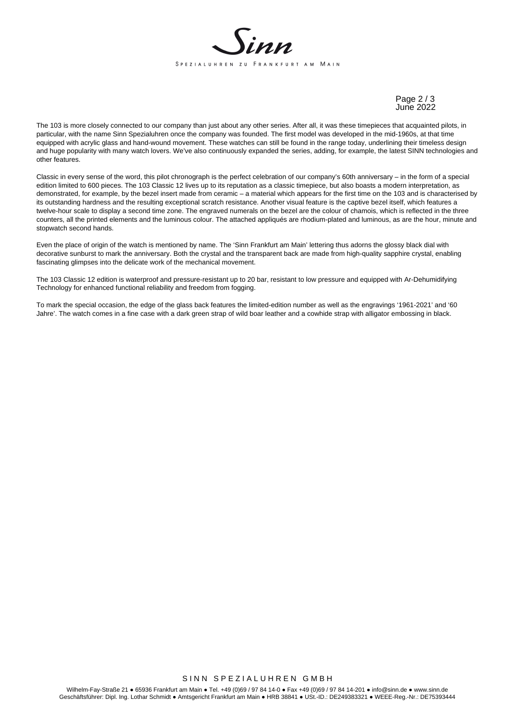

Page 2 / 3 June 2022

The 103 is more closely connected to our company than just about any other series. After all, it was these timepieces that acquainted pilots, in particular, with the name Sinn Spezialuhren once the company was founded. The first model was developed in the mid-1960s, at that time equipped with acrylic glass and hand-wound movement. These watches can still be found in the range today, underlining their timeless design and huge popularity with many watch lovers. We've also continuously expanded the series, adding, for example, the latest SINN technologies and other features.

Classic in every sense of the word, this pilot chronograph is the perfect celebration of our company's 60th anniversary – in the form of a special edition limited to 600 pieces. The 103 Classic 12 lives up to its reputation as a classic timepiece, but also boasts a modern interpretation, as demonstrated, for example, by the bezel insert made from ceramic – a material which appears for the first time on the 103 and is characterised by its outstanding hardness and the resulting exceptional scratch resistance. Another visual feature is the captive bezel itself, which features a twelve-hour scale to display a second time zone. The engraved numerals on the bezel are the colour of chamois, which is reflected in the three counters, all the printed elements and the luminous colour. The attached appliqués are rhodium-plated and luminous, as are the hour, minute and stopwatch second hands.

Even the place of origin of the watch is mentioned by name. The 'Sinn Frankfurt am Main' lettering thus adorns the glossy black dial with decorative sunburst to mark the anniversary. Both the crystal and the transparent back are made from high-quality sapphire crystal, enabling fascinating glimpses into the delicate work of the mechanical movement.

The 103 Classic 12 edition is waterproof and pressure-resistant up to 20 bar, resistant to low pressure and equipped with Ar-Dehumidifying Technology for enhanced functional reliability and freedom from fogging.

To mark the special occasion, the edge of the glass back features the limited-edition number as well as the engravings '1961-2021' and '60 Jahre'. The watch comes in a fine case with a dark green strap of wild boar leather and a cowhide strap with alligator embossing in black.